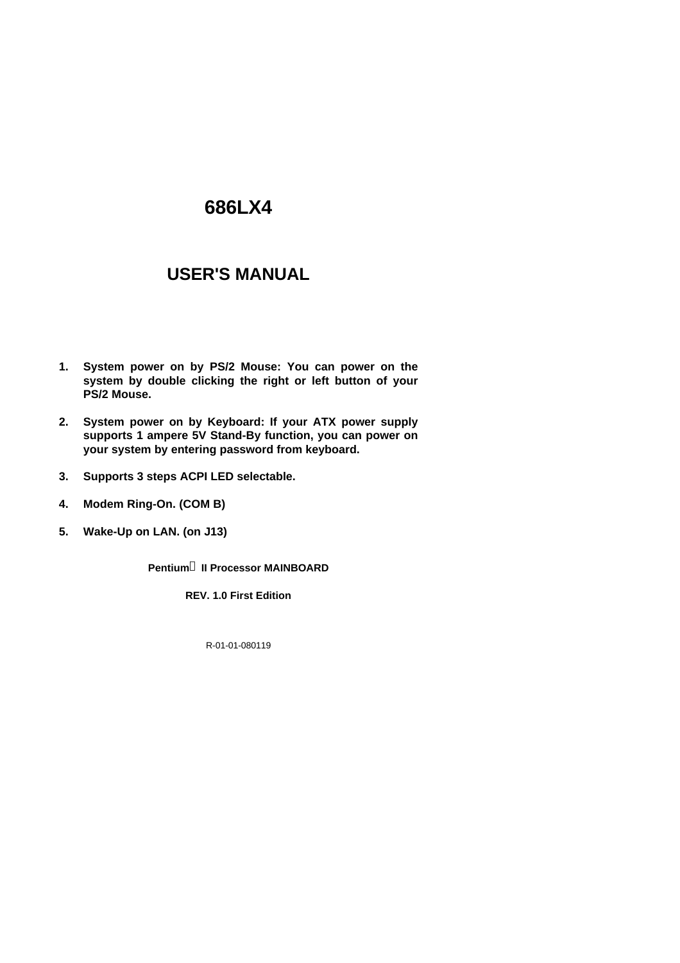# **686LX4**

# **USER'S MANUAL**

- **1. System power on by PS/2 Mouse: You can power on the system by double clicking the right or left button of your PS/2 Mouse.**
- **2. System power on by Keyboard: If your ATX power supply supports 1 ampere 5V Stand-By function, you can power on your system by entering password from keyboard.**
- **3. Supports 3 steps ACPI LED selectable.**
- **4. Modem Ring-On. (COM B)**
- **5. Wake-Up on LAN. (on J13)**

**Pentiumâ II Processor MAINBOARD**

**REV. 1.0 First Edition**

R-01-01-080119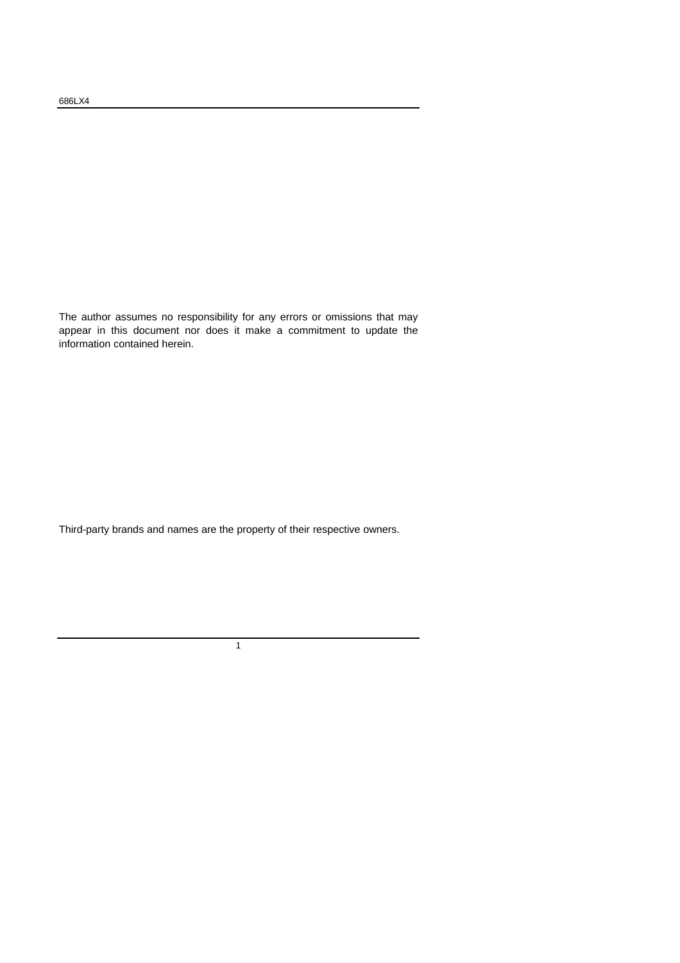The author assumes no responsibility for any errors or omissions that may appear in this document nor does it make a commitment to update the information contained herein.

Third-party brands and names are the property of their respective owners.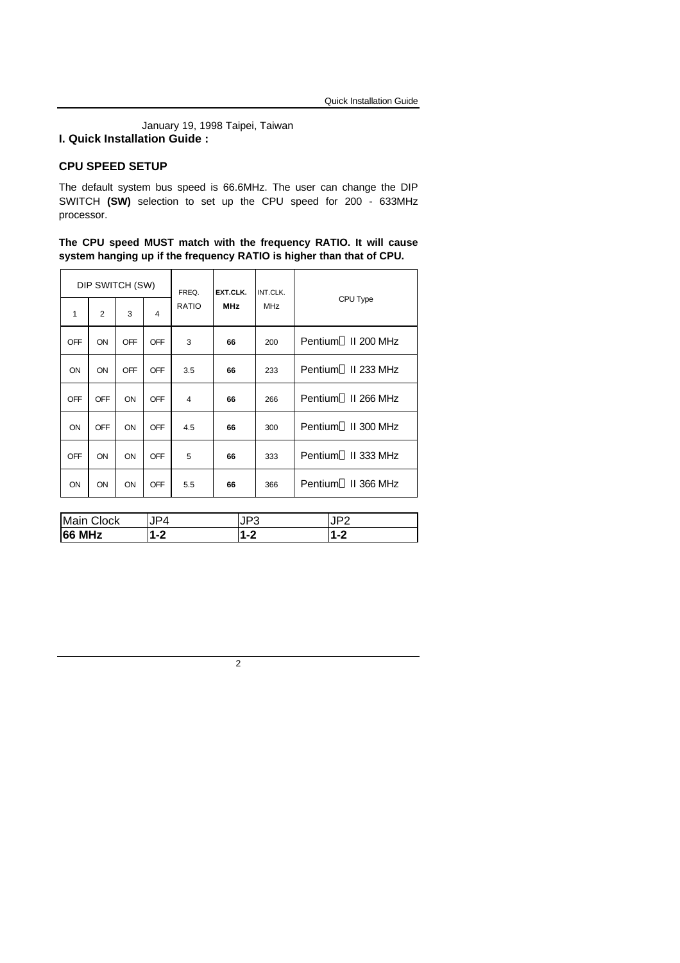January 19, 1998 Taipei, Taiwan **I. Quick Installation Guide :**

#### **CPU SPEED SETUP**

**66 MHz 1-2 1-2 1-2**

The default system bus speed is 66.6MHz. The user can change the DIP SWITCH **(SW)** selection to set up the CPU speed for 200 - 633MHz processor.

**The CPU speed MUST match with the frequency RATIO. It will cause system hanging up if the frequency RATIO is higher than that of CPU.**

| DIP SWITCH (SW)   |                |            |            | FREQ.        | EXT.CLK.   | INT.CLK.   |                                 |  |
|-------------------|----------------|------------|------------|--------------|------------|------------|---------------------------------|--|
| 1                 | $\overline{2}$ | 3          | 4          | <b>RATIO</b> | <b>MHz</b> | <b>MHz</b> | CPU Type                        |  |
| <b>OFF</b>        | ON             | <b>OFF</b> | OFF        | 3            | 66         | 200        | Pentium <sup>®</sup> II 200 MHz |  |
| ON                | ON             | <b>OFF</b> | OFF        | 3.5          | 66         | 233        | Pentium <sup>®</sup> II 233 MHz |  |
| OFF               | OFF            | ON         | <b>OFF</b> | 4            | 66         | 266        | Pentium <sup>®</sup> II 266 MHz |  |
| ON                | OFF            | ON         | <b>OFF</b> | 4.5          | 66         | 300        | Pentium <sup>®</sup> II 300 MHz |  |
| <b>OFF</b>        | ON             | ON         | <b>OFF</b> | 5            | 66         | 333        | Pentium <sup>®</sup> II 333 MHz |  |
| ON                | ON             | ON         | <b>OFF</b> | 5.5          | 66         | 366        | Pentium <sup>®</sup> II 366 MHz |  |
|                   |                |            |            |              |            |            |                                 |  |
| Main Clock<br>JP4 |                |            |            |              | JP3        | JP2        |                                 |  |
| $1 - 2$<br>66 MHz |                |            | $1 - 2$    |              |            | $1 - 2$    |                                 |  |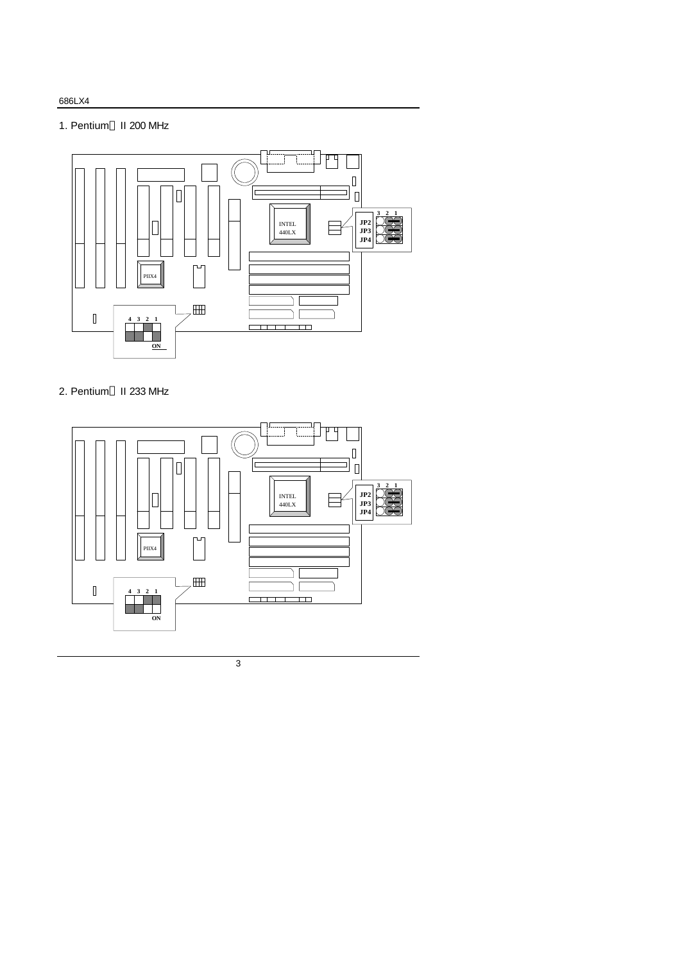#### 686LX4

### 1. Pentium<sup>®</sup> II 200 MHz



## 2. Pentium<sup>®</sup> II 233 MHz

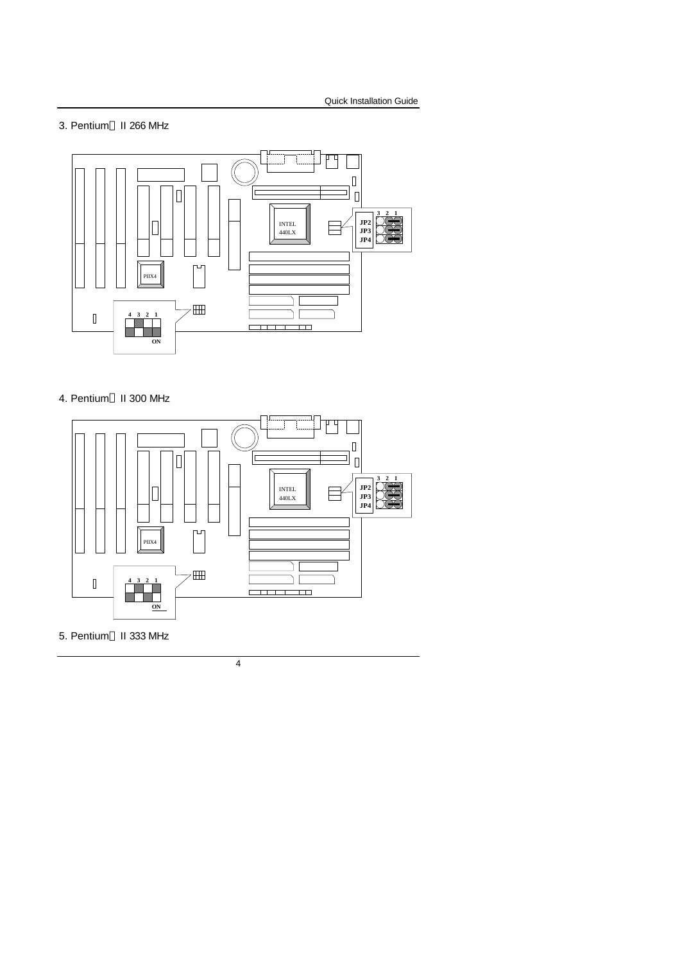#### 3. Pentium<sup>®</sup> II 266 MHz



## 4. Pentium<sup>®</sup> II 300 MHz



### 5. Pentium<sup>®</sup> II 333 MHz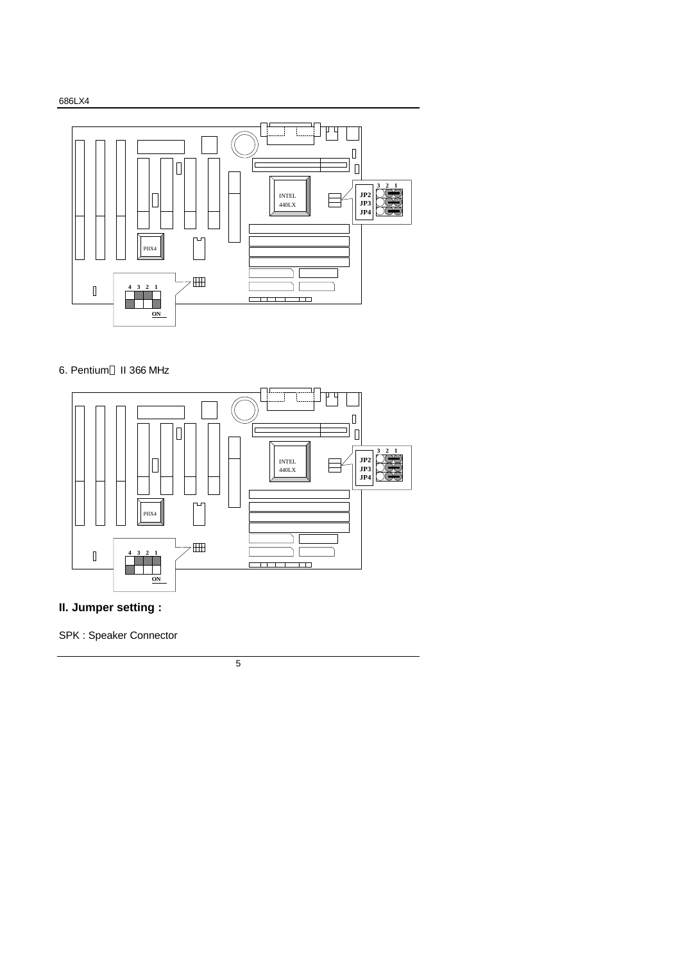

#### 6. Pentium<sup>®</sup> II 366 MHz



## **II. Jumper setting :**

SPK : Speaker Connector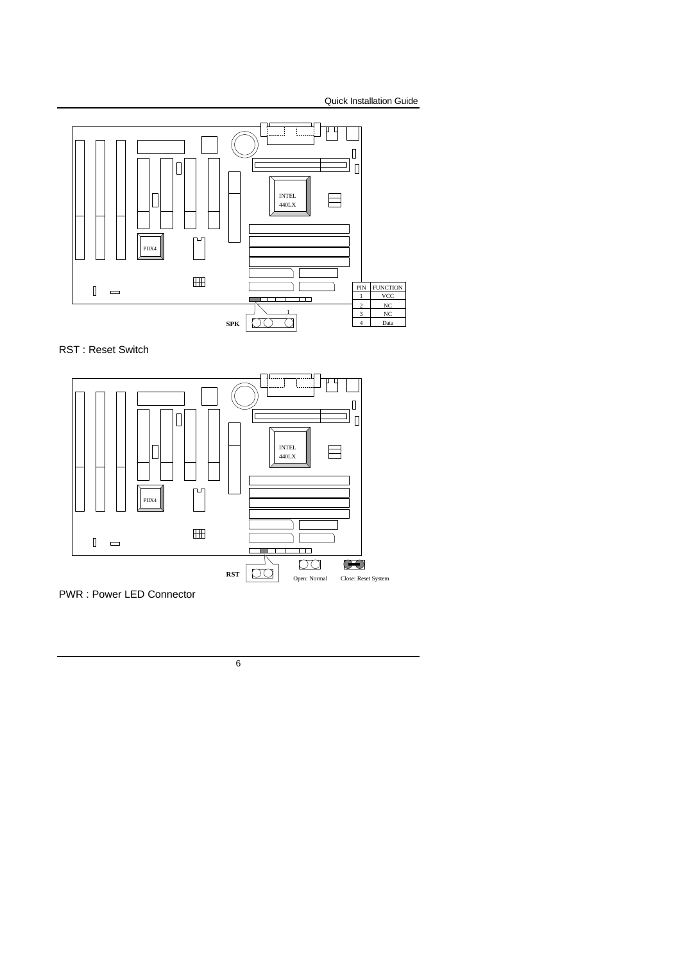





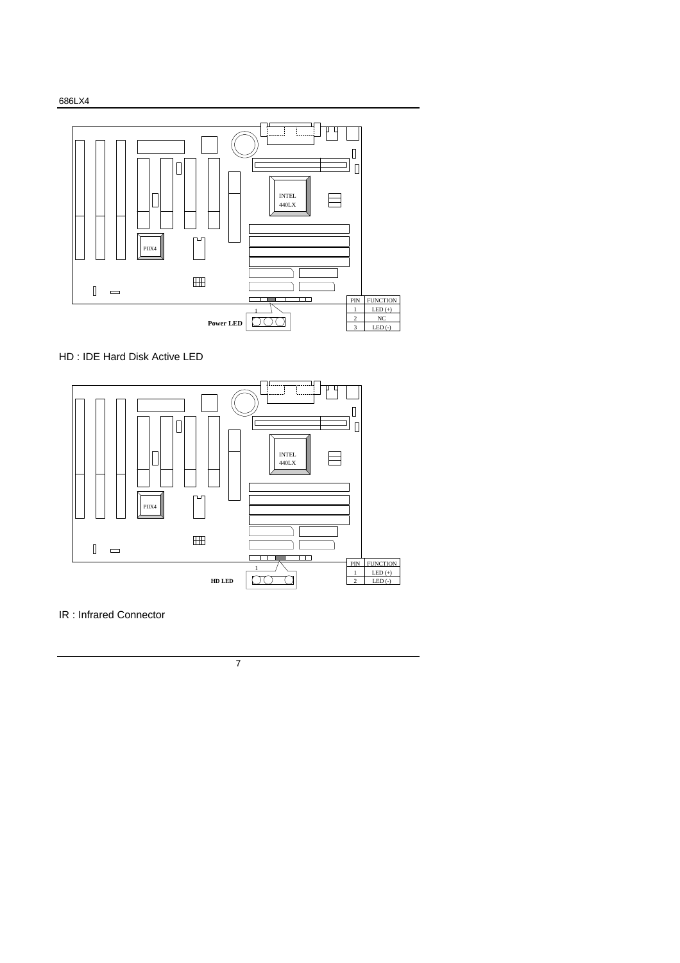



HD : IDE Hard Disk Active LED



IR : Infrared Connector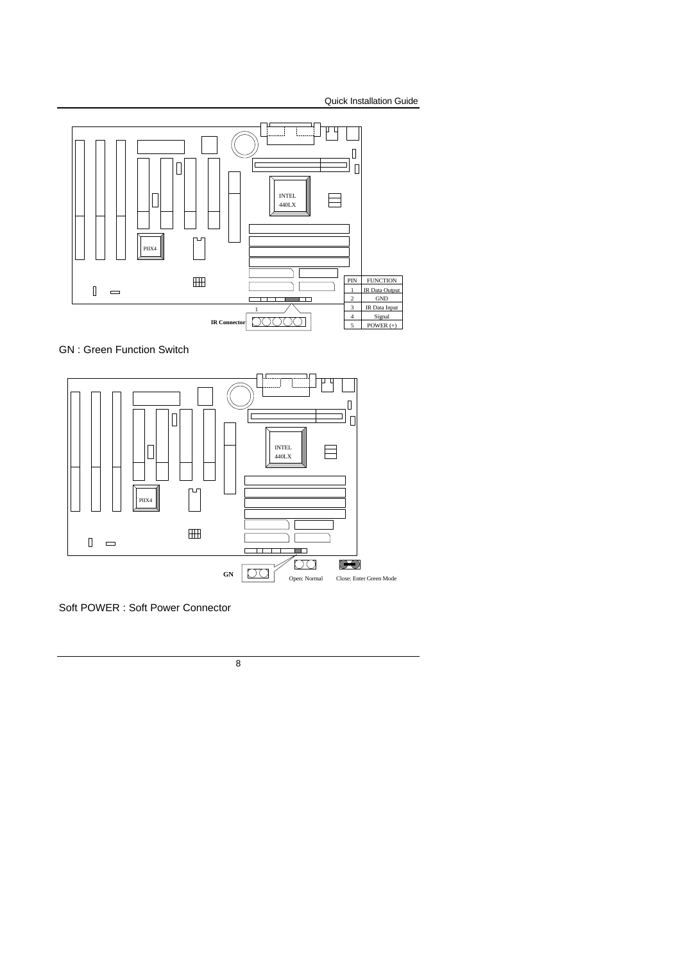





Soft POWER : Soft Power Connector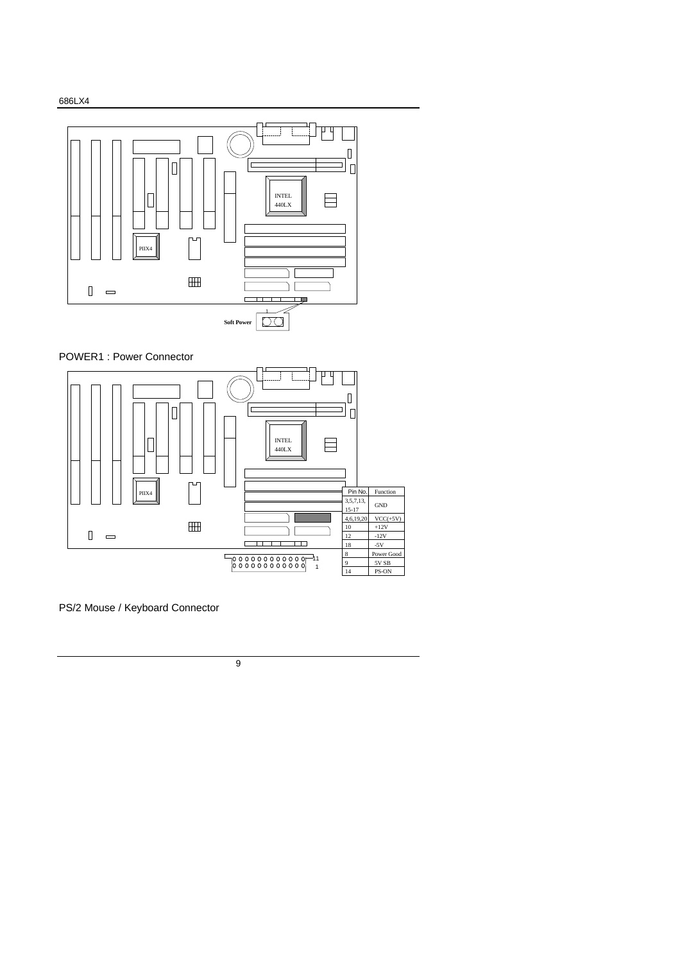





PS/2 Mouse / Keyboard Connector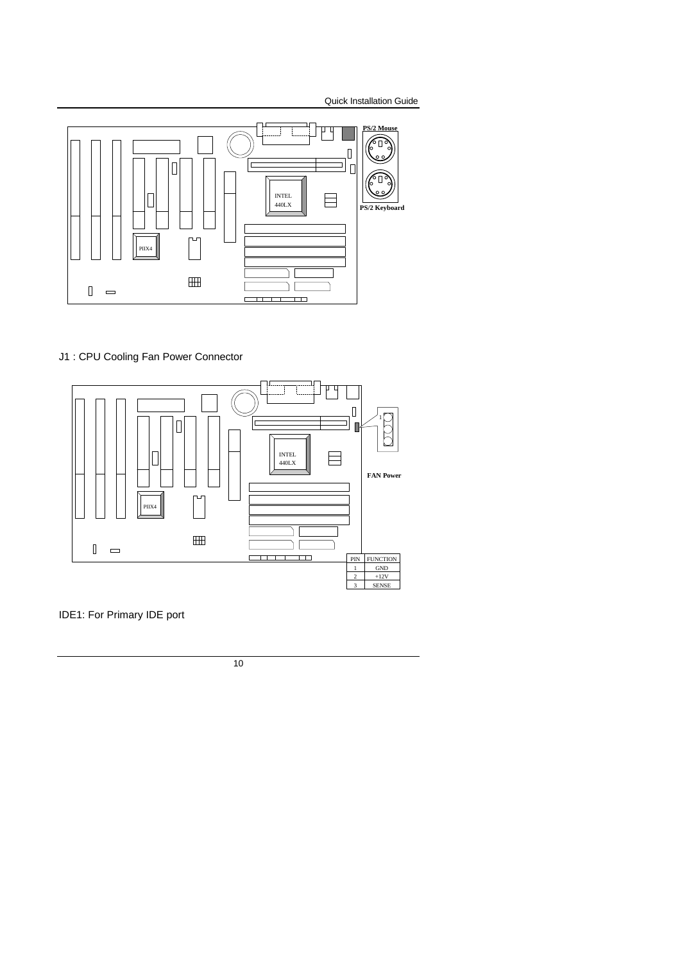

#### J1 : CPU Cooling Fan Power Connector



IDE1: For Primary IDE port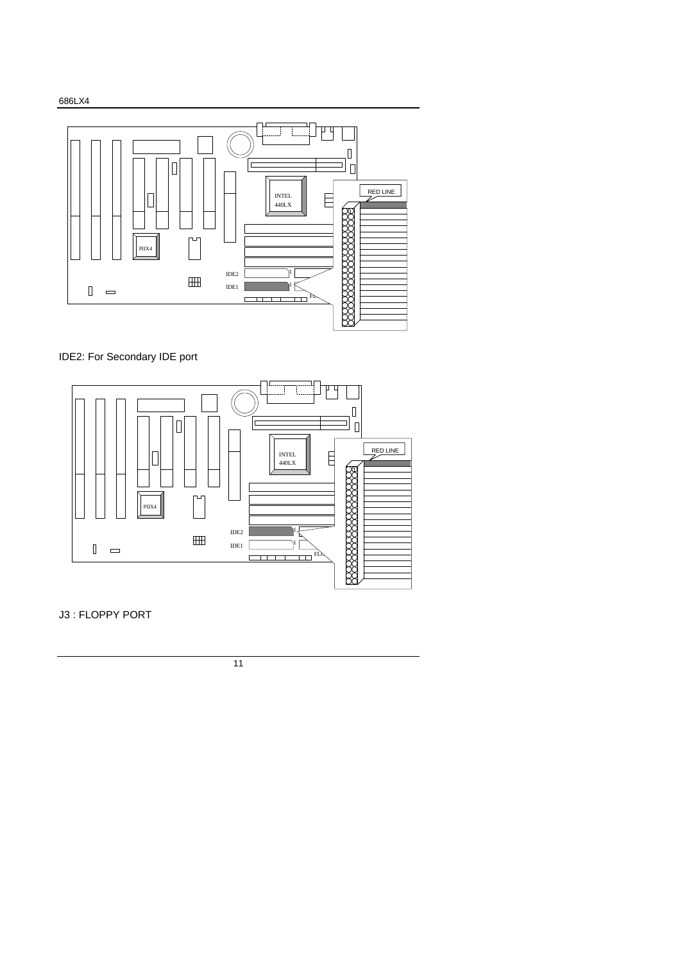



IDE2: For Secondary IDE port



J3 : FLOPPY PORT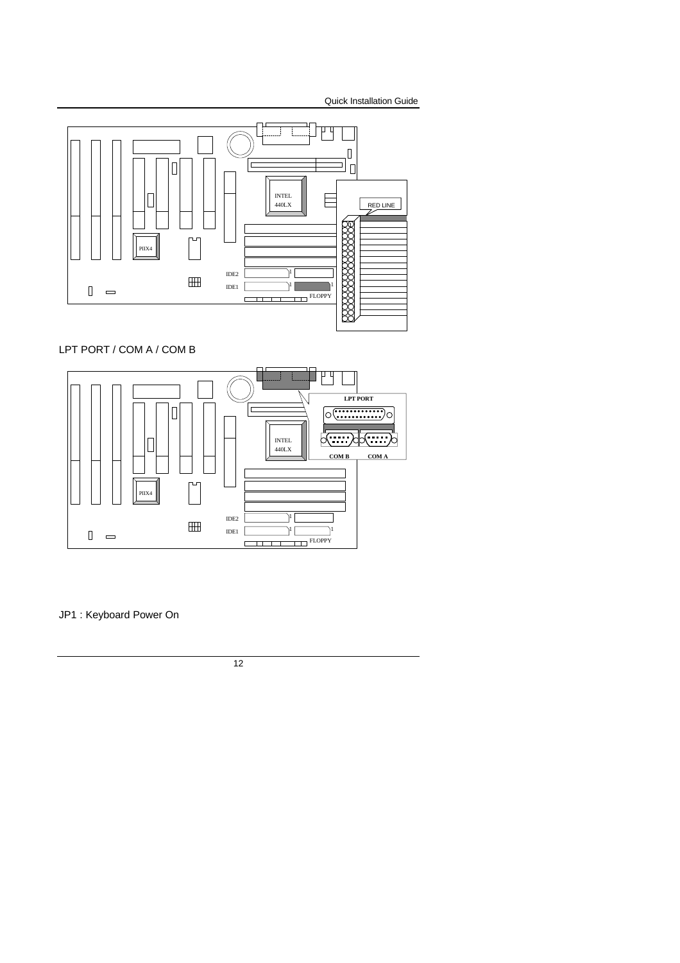

LPT PORT / COM A / COM B



JP1 : Keyboard Power On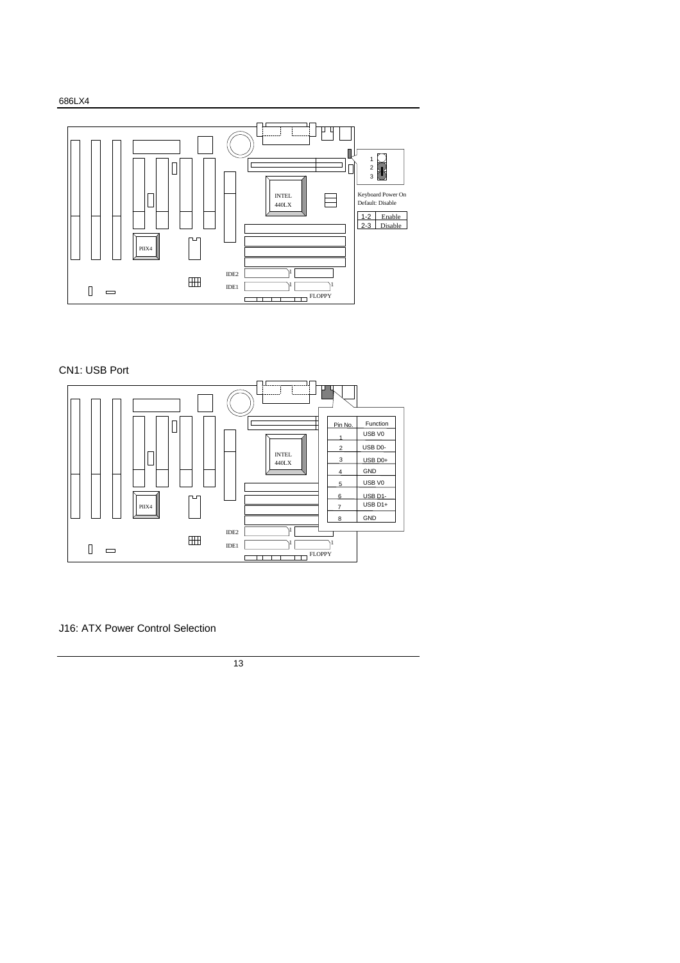



## CN1: USB Port



J16: ATX Power Control Selection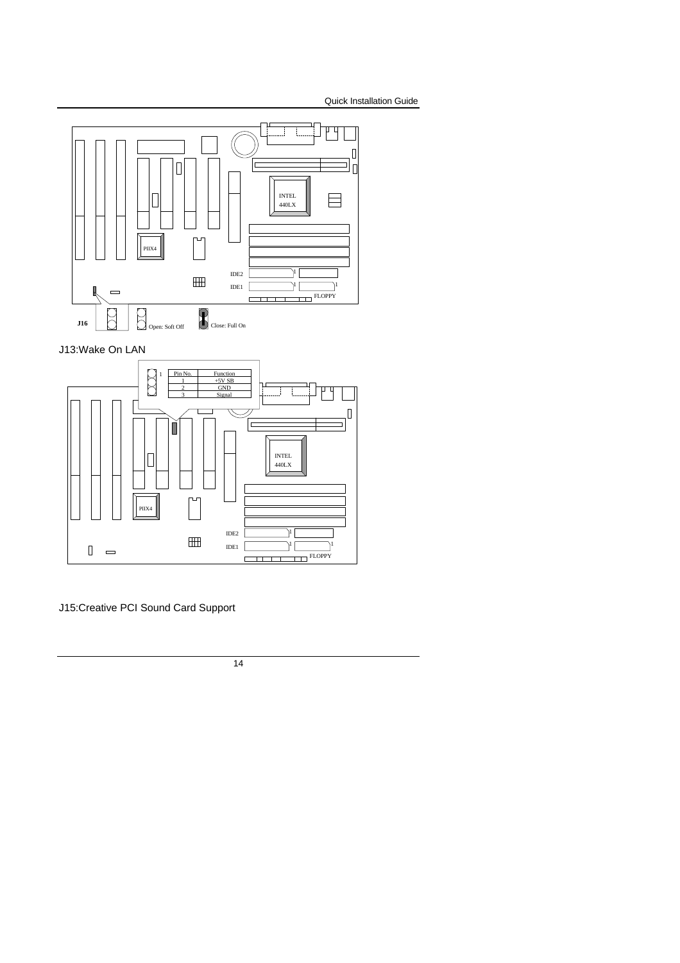

J13:Wake On LAN



J15:Creative PCI Sound Card Support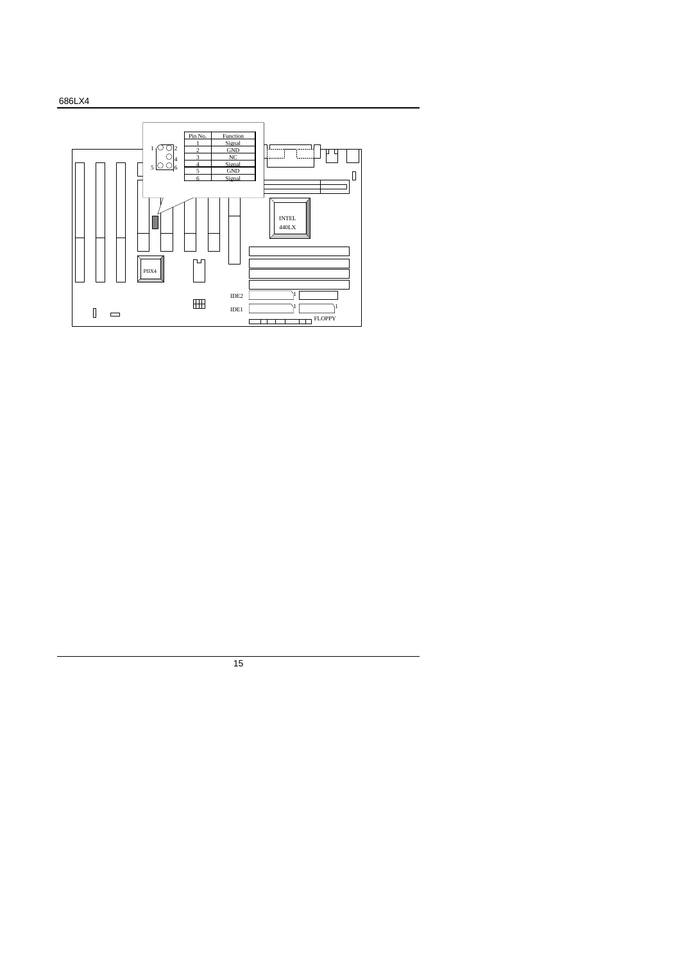